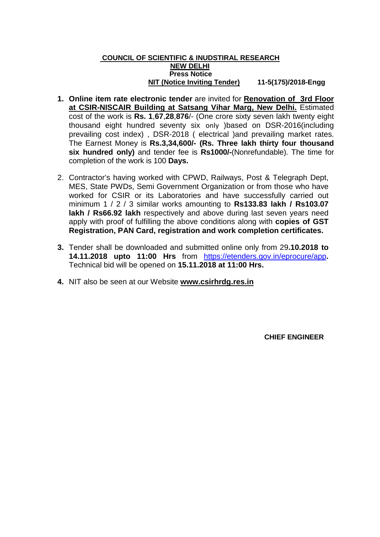#### **COUNCIL OF SCIENTIFIC & INUDSTIRAL RESEARCH NEW DELHI Press Notice NIT (Notice Inviting Tender) 11-5(175)/2018-Engg**

- **1. Online item rate electronic tender** are invited for **Renovation of 3rd Floor at CSIR-NISCAIR Building at Satsang Vihar Marg, New Delhi.** Estimated cost of the work is **Rs. 1**,**67**,**28**,**876**/- (One crore sixty seven lakh twenty eight thousand eight hundred seventy six only )based on DSR-2016(including prevailing cost index) , DSR-2018 ( electrical )and prevailing market rates. The Earnest Money is **Rs.3,34,600/- (Rs. Three lakh thirty four thousand six hundred only)** and tender fee is **Rs1000/-**(Nonrefundable). The time for completion of the work is 100 **Days.**
- 2. Contractor's having worked with CPWD, Railways, Post & Telegraph Dept, MES, State PWDs, Semi Government Organization or from those who have worked for CSIR or its Laboratories and have successfully carried out minimum 1 / 2 / 3 similar works amounting to **Rs133.83 lakh / Rs103.07 lakh / Rs66.92 lakh** respectively and above during last seven years need apply with proof of fulfilling the above conditions along with **copies of GST Registration, PAN Card, registration and work completion certificates.**
- **3.** Tender shall be downloaded and submitted online only from 29**.10.2018 to 14.11.2018 upto 11:00 Hrs** from <https://etenders.gov.in/eprocure/app>**.**  Technical bid will be opened on **15.11.2018 at 11:00 Hrs.**
- **4.** NIT also be seen at our Website **www.csirhrdg.res.in**

 **CHIEF ENGINEER**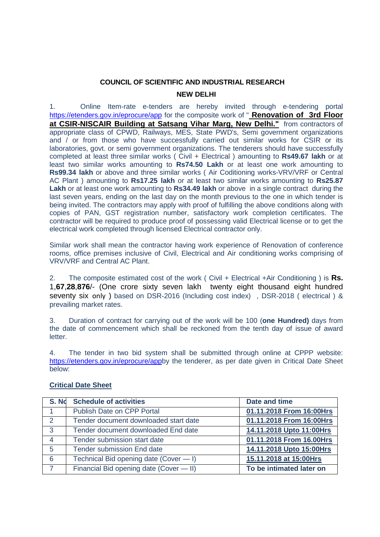# **COUNCIL OF SCIENTIFIC AND INDUSTRIAL RESEARCH NEW DELHI**

1. Online Item-rate e-tenders are hereby invited through e-tendering portal <https://etenders.gov.in/eprocure/app> for the composite work of " **Renovation of 3rd Floor at CSIR-NISCAIR Building at Satsang Vihar Marg, New Delhi."** from contractors of appropriate class of CPWD, Railways, MES, State PWD's, Semi government organizations and / or from those who have successfully carried out similar works for CSIR or its laboratories, govt. or semi government organizations. The tenderers should have successfully completed at least three similar works ( Civil + Electrical ) amounting to **Rs49.67 lakh** or at least two similar works amounting to **Rs74.50 Lakh** or at least one work amounting to **Rs99.34 lakh** or above and three similar works ( Air Coditioning works-VRV/VRF or Central AC Plant ) amounting to **Rs17.25 lakh** or at least two similar works amounting to **Rs25.87 Lakh** or at least one work amounting to **Rs34.49 lakh** or above in a single contract during the last seven years, ending on the last day on the month previous to the one in which tender is being invited. The contractors may apply with proof of fulfilling the above conditions along with copies of PAN, GST registration number, satisfactory work completion certificates. The contractor will be required to produce proof of possessing valid Electrical license or to get the electrical work completed through licensed Electrical contractor only.

Similar work shall mean the contractor having work experience of Renovation of conference rooms, office premises inclusive of Civil, Electrical and Air conditioning works comprising of VRV/VRF and Central AC Plant.

2. The composite estimated cost of the work ( Civil + Electrical +Air Conditioning ) is **Rs.** 1,**67**,**28**,**876**/- (One crore sixty seven lakh twenty eight thousand eight hundred seventy six only ) based on DSR-2016 (Including cost index), DSR-2018 ( electrical ) & prevailing market rates.

3. Duration of contract for carrying out of the work will be 100 (**one Hundred)** days from the date of commencement which shall be reckoned from the tenth day of issue of award letter.

4. The tender in two bid system shall be submitted through online at CPPP website: [https://etenders.gov.in/eprocure/appb](https://etenders.gov.in/eprocure/app)y the tenderer, as per date given in Critical Date Sheet below:

| S. No           | <b>Schedule of activities</b>           | Date and time            |
|-----------------|-----------------------------------------|--------------------------|
|                 | <b>Publish Date on CPP Portal</b>       | 01.11.2018 From 16:00Hrs |
| $\overline{2}$  | Tender document downloaded start date   | 01.11.2018 From 16:00Hrs |
| $\mathbf{3}$    | Tender document downloaded End date     | 14.11.2018 Upto 11:00Hrs |
| $\overline{4}$  | Tender submission start date            | 01.11.2018 From 16.00Hrs |
| $5\overline{5}$ | <b>Tender submission End date</b>       | 14.11.2018 Upto 15:00Hrs |
| 6               | Technical Bid opening date (Cover - I)  | 15.11.2018 at 15:00Hrs   |
|                 | Financial Bid opening date (Cover - II) | To be intimated later on |

### **Critical Date Sheet**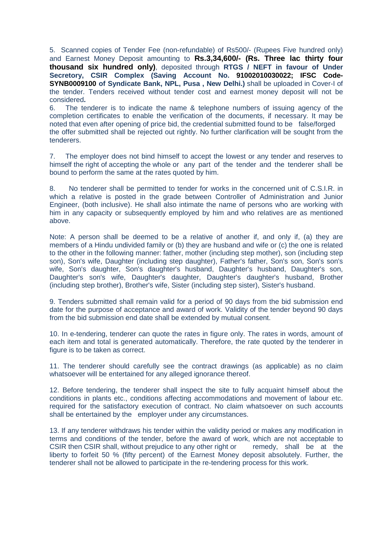5. Scanned copies of Tender Fee (non-refundable) of Rs500/- (Rupees Five hundred only) and Earnest Money Deposit amounting to **Rs.3,34,600/- (Rs. Three lac thirty four thousand six hundred only)**, deposited through **RTGS / NEFT in favour of Under**  Secretory, CSIR Complex (Saving Account No. 91002010030022; IFSC Code-**SYNB0009100 of Syndicate Bank, NPL, Pusa , New Delhi.)** shall be uploaded in Cover-I of the tender. Tenders received without tender cost and earnest money deposit will not be considered**.**

6. The tenderer is to indicate the name & telephone numbers of issuing agency of the completion certificates to enable the verification of the documents, if necessary. It may be noted that even after opening of price bid, the credential submitted found to be false/forged the offer submitted shall be rejected out rightly. No further clarification will be sought from the tenderers.

7. The employer does not bind himself to accept the lowest or any tender and reserves to himself the right of accepting the whole or any part of the tender and the tenderer shall be bound to perform the same at the rates quoted by him.

8. No tenderer shall be permitted to tender for works in the concerned unit of C.S.I.R. in which a relative is posted in the grade between Controller of Administration and Junior Engineer, (both inclusive). He shall also intimate the name of persons who are working with him in any capacity or subsequently employed by him and who relatives are as mentioned above.

Note: A person shall be deemed to be a relative of another if, and only if, (a) they are members of a Hindu undivided family or (b) they are husband and wife or (c) the one is related to the other in the following manner: father, mother (including step mother), son (including step son), Son's wife, Daughter (including step daughter), Father's father, Son's son, Son's son's wife, Son's daughter, Son's daughter's husband, Daughter's husband, Daughter's son, Daughter's son's wife, Daughter's daughter, Daughter's daughter's husband, Brother (including step brother), Brother's wife, Sister (including step sister), Sister's husband.

9. Tenders submitted shall remain valid for a period of 90 days from the bid submission end date for the purpose of acceptance and award of work. Validity of the tender beyond 90 days from the bid submission end date shall be extended by mutual consent.

10. In e-tendering, tenderer can quote the rates in figure only. The rates in words, amount of each item and total is generated automatically. Therefore, the rate quoted by the tenderer in figure is to be taken as correct.

11. The tenderer should carefully see the contract drawings (as applicable) as no claim whatsoever will be entertained for any alleged ignorance thereof.

12. Before tendering, the tenderer shall inspect the site to fully acquaint himself about the conditions in plants etc., conditions affecting accommodations and movement of labour etc. required for the satisfactory execution of contract. No claim whatsoever on such accounts shall be entertained by the employer under any circumstances.

13. If any tenderer withdraws his tender within the validity period or makes any modification in terms and conditions of the tender, before the award of work, which are not acceptable to CSIR then CSIR shall, without prejudice to any other right or remedy, shall be at the liberty to forfeit 50 % (fifty percent) of the Earnest Money deposit absolutely. Further, the tenderer shall not be allowed to participate in the re-tendering process for this work.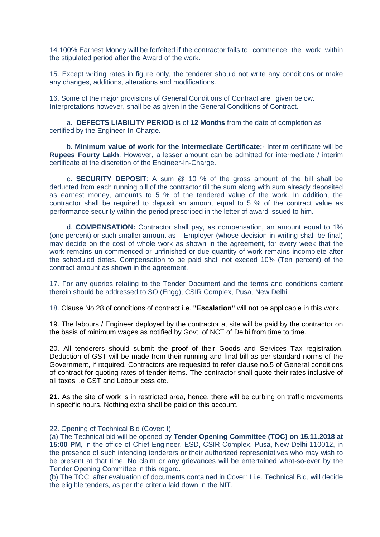14.100% Earnest Money will be forfeited if the contractor fails to commence the work within the stipulated period after the Award of the work.

15. Except writing rates in figure only, the tenderer should not write any conditions or make any changes, additions, alterations and modifications.

16. Some of the major provisions of General Conditions of Contract are given below. Interpretations however, shall be as given in the General Conditions of Contract.

a. **DEFECTS LIABILITY PERIOD** is of **12 Months** from the date of completion as certified by the Engineer-In-Charge.

b. **Minimum value of work for the Intermediate Certificate:-** Interim certificate will be **Rupees Fourty Lakh**. However, a lesser amount can be admitted for intermediate / interim certificate at the discretion of the Engineer-In-Charge.

c. **SECURITY DEPOSIT**: A sum @ 10 % of the gross amount of the bill shall be deducted from each running bill of the contractor till the sum along with sum already deposited as earnest money, amounts to 5 % of the tendered value of the work. In addition, the contractor shall be required to deposit an amount equal to 5 % of the contract value as performance security within the period prescribed in the letter of award issued to him.

d. **COMPENSATION:** Contractor shall pay, as compensation, an amount equal to 1% (one percent) or such smaller amount as Employer (whose decision in writing shall be final) may decide on the cost of whole work as shown in the agreement, for every week that the work remains un-commenced or unfinished or due quantity of work remains incomplete after the scheduled dates. Compensation to be paid shall not exceed 10% (Ten percent) of the contract amount as shown in the agreement.

17. For any queries relating to the Tender Document and the terms and conditions content therein should be addressed to SO (Engg), CSIR Complex, Pusa, New Delhi.

18. Clause No.28 of conditions of contract i.e. **"Escalation"** will not be applicable in this work.

19. The labours / Engineer deployed by the contractor at site will be paid by the contractor on the basis of minimum wages as notified by Govt. of NCT of Delhi from time to time.

20. All tenderers should submit the proof of their Goods and Services Tax registration. Deduction of GST will be made from their running and final bill as per standard norms of the Government, if required. Contractors are requested to refer clause no.5 of General conditions of contract for quoting rates of tender items**.** The contractor shall quote their rates inclusive of all taxes i.e GST and Labour cess etc.

**21.** As the site of work is in restricted area, hence, there will be curbing on traffic movements in specific hours. Nothing extra shall be paid on this account.

22. Opening of Technical Bid (Cover: I)

(a) The Technical bid will be opened by **Tender Opening Committee (TOC) on 15.11.2018 at 15:00 PM,** in the office of Chief Engineer, ESD, CSIR Complex, Pusa, New Delhi-110012, in the presence of such intending tenderers or their authorized representatives who may wish to be present at that time. No claim or any grievances will be entertained what-so-ever by the Tender Opening Committee in this regard.

(b) The TOC, after evaluation of documents contained in Cover: I i.e. Technical Bid, will decide the eligible tenders, as per the criteria laid down in the NIT.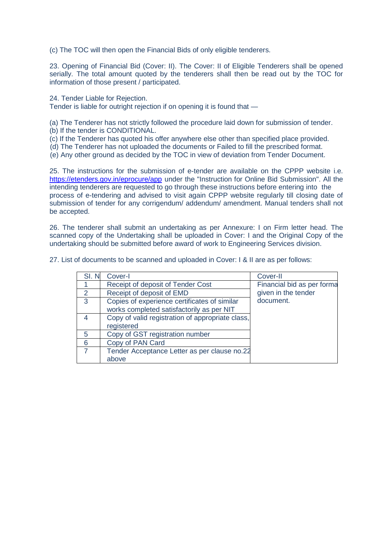(c) The TOC will then open the Financial Bids of only eligible tenderers.

23. Opening of Financial Bid (Cover: II). The Cover: II of Eligible Tenderers shall be opened serially. The total amount quoted by the tenderers shall then be read out by the TOC for information of those present / participated.

24. Tender Liable for Rejection.

Tender is liable for outright rejection if on opening it is found that —

(a) The Tenderer has not strictly followed the procedure laid down for submission of tender.

- (b) If the tender is CONDITIONAL.
- (c) If the Tenderer has quoted his offer anywhere else other than specified place provided.
- (d) The Tenderer has not uploaded the documents or Failed to fill the prescribed format.
- (e) Any other ground as decided by the TOC in view of deviation from Tender Document.

25. The instructions for the submission of e-tender are available on the CPPP website i.e. <https://etenders.gov.in/eprocure/app> under the "Instruction for Online Bid Submission". All the intending tenderers are requested to go through these instructions before entering into the process of e-tendering and advised to visit again CPPP website regularly till closing date of submission of tender for any corrigendum/ addendum/ amendment. Manual tenders shall not be accepted.

26. The tenderer shall submit an undertaking as per Annexure: I on Firm letter head. The scanned copy of the Undertaking shall be uploaded in Cover: I and the Original Copy of the undertaking should be submitted before award of work to Engineering Services division.

| SI.N          | Cover-I                                          | Cover-II                   |
|---------------|--------------------------------------------------|----------------------------|
|               | Receipt of deposit of Tender Cost                | Financial bid as per forma |
| $\mathcal{P}$ | Receipt of deposit of EMD                        | given in the tender        |
| 3             | Copies of experience certificates of similar     | document.                  |
|               | works completed satisfactorily as per NIT        |                            |
|               | Copy of valid registration of appropriate class, |                            |
|               | registered                                       |                            |
| 5             | Copy of GST registration number                  |                            |
| 6             | Copy of PAN Card                                 |                            |
|               | Tender Acceptance Letter as per clause no.22     |                            |
|               | above                                            |                            |

27. List of documents to be scanned and uploaded in Cover: I & II are as per follows: